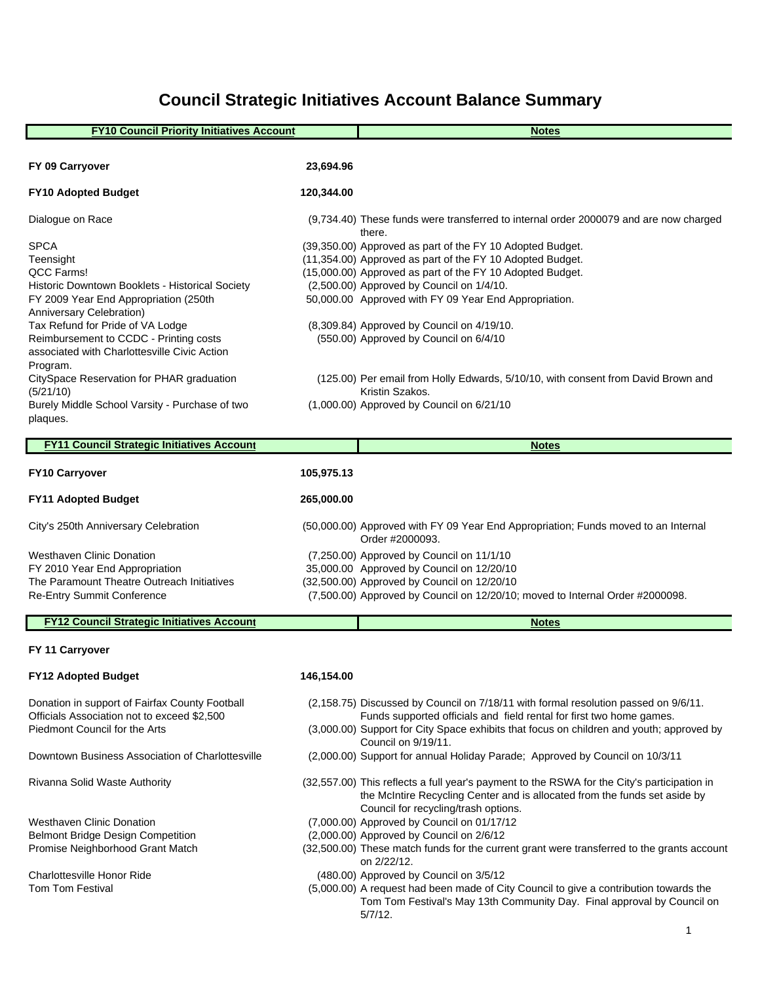# **Council Strategic Initiatives Account Balance Summary**

| <b>FY10 Council Priority Initiatives Account</b>                                              |            | <b>Notes</b>                                                                                                                                                                                                      |
|-----------------------------------------------------------------------------------------------|------------|-------------------------------------------------------------------------------------------------------------------------------------------------------------------------------------------------------------------|
|                                                                                               |            |                                                                                                                                                                                                                   |
| FY 09 Carryover                                                                               | 23,694.96  |                                                                                                                                                                                                                   |
| <b>FY10 Adopted Budget</b>                                                                    | 120,344.00 |                                                                                                                                                                                                                   |
| Dialogue on Race                                                                              |            | (9,734.40) These funds were transferred to internal order 2000079 and are now charged<br>there.                                                                                                                   |
| <b>SPCA</b>                                                                                   |            | (39,350.00) Approved as part of the FY 10 Adopted Budget.                                                                                                                                                         |
| Teensight                                                                                     |            | (11,354.00) Approved as part of the FY 10 Adopted Budget.                                                                                                                                                         |
| QCC Farms!                                                                                    |            | (15,000.00) Approved as part of the FY 10 Adopted Budget.                                                                                                                                                         |
| Historic Downtown Booklets - Historical Society                                               |            | (2,500.00) Approved by Council on 1/4/10.                                                                                                                                                                         |
| FY 2009 Year End Appropriation (250th<br>Anniversary Celebration)                             |            | 50,000.00 Approved with FY 09 Year End Appropriation.                                                                                                                                                             |
| Tax Refund for Pride of VA Lodge                                                              |            | (8,309.84) Approved by Council on 4/19/10.                                                                                                                                                                        |
| Reimbursement to CCDC - Printing costs                                                        |            | (550.00) Approved by Council on 6/4/10                                                                                                                                                                            |
| associated with Charlottesville Civic Action                                                  |            |                                                                                                                                                                                                                   |
| Program.                                                                                      |            |                                                                                                                                                                                                                   |
| CitySpace Reservation for PHAR graduation                                                     |            | (125.00) Per email from Holly Edwards, 5/10/10, with consent from David Brown and                                                                                                                                 |
| (5/21/10)<br>Burely Middle School Varsity - Purchase of two                                   |            | Kristin Szakos.<br>(1,000.00) Approved by Council on 6/21/10                                                                                                                                                      |
| plaques.                                                                                      |            |                                                                                                                                                                                                                   |
|                                                                                               |            |                                                                                                                                                                                                                   |
| <b>FY11 Council Strategic Initiatives Account</b>                                             |            | <b>Notes</b>                                                                                                                                                                                                      |
| <b>FY10 Carryover</b>                                                                         | 105,975.13 |                                                                                                                                                                                                                   |
| <b>FY11 Adopted Budget</b>                                                                    | 265,000.00 |                                                                                                                                                                                                                   |
| City's 250th Anniversary Celebration                                                          |            | (50,000.00) Approved with FY 09 Year End Appropriation; Funds moved to an Internal<br>Order #2000093.                                                                                                             |
| <b>Westhaven Clinic Donation</b>                                                              |            | (7,250.00) Approved by Council on 11/1/10                                                                                                                                                                         |
| FY 2010 Year End Appropriation                                                                |            | 35,000.00 Approved by Council on 12/20/10                                                                                                                                                                         |
| The Paramount Theatre Outreach Initiatives                                                    |            | (32,500.00) Approved by Council on 12/20/10                                                                                                                                                                       |
| Re-Entry Summit Conference                                                                    |            | (7,500.00) Approved by Council on 12/20/10; moved to Internal Order #2000098.                                                                                                                                     |
| <b>FY12 Council Strategic Initiatives Account</b>                                             |            | <b>Notes</b>                                                                                                                                                                                                      |
| FY 11 Carryover                                                                               |            |                                                                                                                                                                                                                   |
|                                                                                               |            |                                                                                                                                                                                                                   |
| <b>FY12 Adopted Budget</b>                                                                    | 146,154.00 |                                                                                                                                                                                                                   |
| Donation in support of Fairfax County Football<br>Officials Association not to exceed \$2,500 |            | (2,158.75) Discussed by Council on 7/18/11 with formal resolution passed on 9/6/11.<br>Funds supported officials and field rental for first two home games.                                                       |
| Piedmont Council for the Arts                                                                 |            | (3,000.00) Support for City Space exhibits that focus on children and youth; approved by<br>Council on 9/19/11.                                                                                                   |
| Downtown Business Association of Charlottesville                                              |            | (2,000.00) Support for annual Holiday Parade; Approved by Council on 10/3/11                                                                                                                                      |
| Rivanna Solid Waste Authority                                                                 |            | (32,557.00) This reflects a full year's payment to the RSWA for the City's participation in<br>the McIntire Recycling Center and is allocated from the funds set aside by<br>Council for recycling/trash options. |
| Westhaven Clinic Donation                                                                     |            | (7,000.00) Approved by Council on 01/17/12                                                                                                                                                                        |
| <b>Belmont Bridge Design Competition</b>                                                      |            | (2,000.00) Approved by Council on 2/6/12                                                                                                                                                                          |
| Promise Neighborhood Grant Match                                                              |            | (32,500.00) These match funds for the current grant were transferred to the grants account<br>on 2/22/12.                                                                                                         |
| <b>Charlottesville Honor Ride</b>                                                             |            | (480.00) Approved by Council on 3/5/12                                                                                                                                                                            |
| Tom Tom Festival                                                                              |            | (5,000.00) A request had been made of City Council to give a contribution towards the                                                                                                                             |
|                                                                                               |            | Tom Tom Festival's May 13th Community Day. Final approval by Council on                                                                                                                                           |
|                                                                                               |            | $5/7/12$ .                                                                                                                                                                                                        |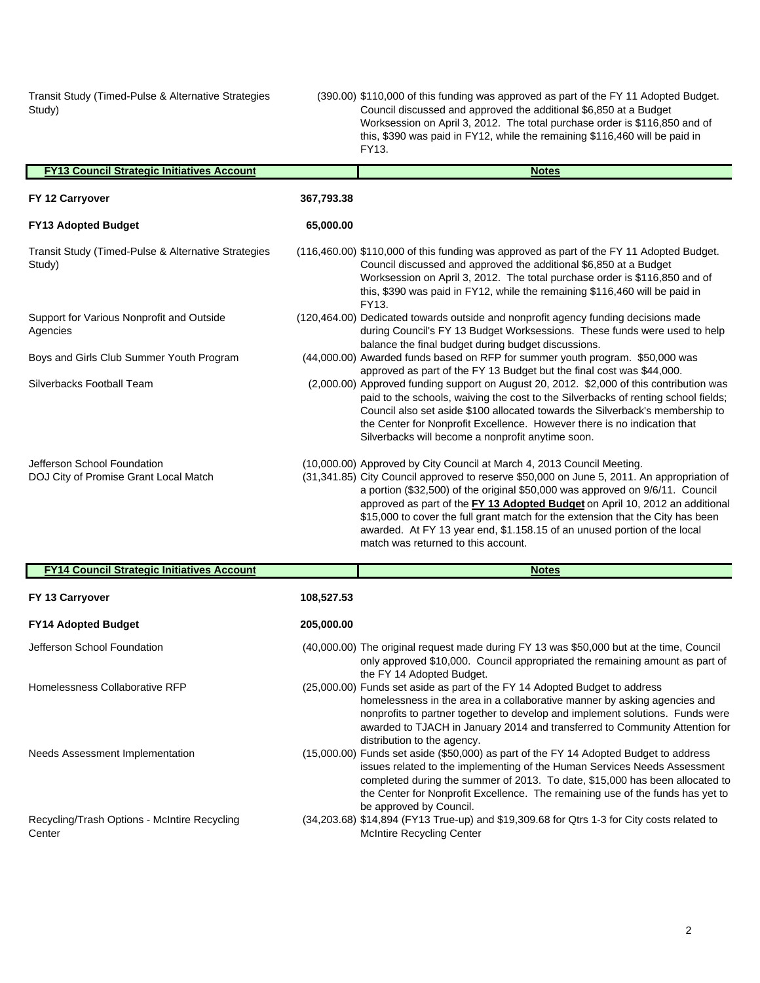Transit Study (Timed-Pulse & Alternative Strategies Study)

(390.00) \$110,000 of this funding was approved as part of the FY 11 Adopted Budget. Council discussed and approved the additional \$6,850 at a Budget Worksession on April 3, 2012. The total purchase order is \$116,850 and of this, \$390 was paid in FY12, while the remaining \$116,460 will be paid in FY13.

| <b>FY13 Council Strategic Initiatives Account</b>                    |            | <b>Notes</b>                                                                                                                                                                                                                                                                                                                                                                                                                                                                                                                                |
|----------------------------------------------------------------------|------------|---------------------------------------------------------------------------------------------------------------------------------------------------------------------------------------------------------------------------------------------------------------------------------------------------------------------------------------------------------------------------------------------------------------------------------------------------------------------------------------------------------------------------------------------|
| FY 12 Carryover                                                      | 367,793.38 |                                                                                                                                                                                                                                                                                                                                                                                                                                                                                                                                             |
| <b>FY13 Adopted Budget</b>                                           | 65,000.00  |                                                                                                                                                                                                                                                                                                                                                                                                                                                                                                                                             |
| Transit Study (Timed-Pulse & Alternative Strategies<br>Study)        |            | (116,460.00) \$110,000 of this funding was approved as part of the FY 11 Adopted Budget.<br>Council discussed and approved the additional \$6,850 at a Budget<br>Worksession on April 3, 2012. The total purchase order is \$116,850 and of<br>this, \$390 was paid in FY12, while the remaining \$116,460 will be paid in<br>FY13.                                                                                                                                                                                                         |
| Support for Various Nonprofit and Outside<br>Agencies                |            | (120,464.00) Dedicated towards outside and nonprofit agency funding decisions made<br>during Council's FY 13 Budget Worksessions. These funds were used to help<br>balance the final budget during budget discussions.                                                                                                                                                                                                                                                                                                                      |
| Boys and Girls Club Summer Youth Program                             |            | (44,000.00) Awarded funds based on RFP for summer youth program. \$50,000 was                                                                                                                                                                                                                                                                                                                                                                                                                                                               |
| Silverbacks Football Team                                            |            | approved as part of the FY 13 Budget but the final cost was \$44,000.<br>(2,000.00) Approved funding support on August 20, 2012. \$2,000 of this contribution was<br>paid to the schools, waiving the cost to the Silverbacks of renting school fields;<br>Council also set aside \$100 allocated towards the Silverback's membership to<br>the Center for Nonprofit Excellence. However there is no indication that<br>Silverbacks will become a nonprofit anytime soon.                                                                   |
| Jefferson School Foundation<br>DOJ City of Promise Grant Local Match |            | (10,000.00) Approved by City Council at March 4, 2013 Council Meeting.<br>(31,341.85) City Council approved to reserve \$50,000 on June 5, 2011. An appropriation of<br>a portion (\$32,500) of the original \$50,000 was approved on 9/6/11. Council<br>approved as part of the FY 13 Adopted Budget on April 10, 2012 an additional<br>\$15,000 to cover the full grant match for the extension that the City has been<br>awarded. At FY 13 year end, \$1.158.15 of an unused portion of the local<br>match was returned to this account. |
| <b>FY14 Council Strategic Initiatives Account</b>                    |            | <b>Notes</b>                                                                                                                                                                                                                                                                                                                                                                                                                                                                                                                                |
| FY 13 Carryover                                                      | 108,527.53 |                                                                                                                                                                                                                                                                                                                                                                                                                                                                                                                                             |
| <b>FY14 Adopted Budget</b>                                           | 205,000.00 |                                                                                                                                                                                                                                                                                                                                                                                                                                                                                                                                             |
| Jefferson School Foundation                                          |            | (40,000.00) The original request made during FY 13 was \$50,000 but at the time, Council<br>only approved \$10,000. Council appropriated the remaining amount as part of<br>the FY 14 Adopted Budget.                                                                                                                                                                                                                                                                                                                                       |
| Homelessness Collaborative RFP                                       |            | (25,000.00) Funds set aside as part of the FY 14 Adopted Budget to address<br>homelessness in the area in a collaborative manner by asking agencies and<br>nonprofits to partner together to develop and implement solutions. Funds were<br>awarded to TJACH in January 2014 and transferred to Community Attention for<br>distribution to the agency.                                                                                                                                                                                      |
| Needs Assessment Implementation                                      |            | (15,000.00) Funds set aside (\$50,000) as part of the FY 14 Adopted Budget to address<br>issues related to the implementing of the Human Services Needs Assessment<br>completed during the summer of 2013. To date, \$15,000 has been allocated to<br>the Center for Nonprofit Excellence. The remaining use of the funds has yet to<br>be approved by Council.                                                                                                                                                                             |
| Recycling/Trash Options - McIntire Recycling<br>Center               |            | (34,203.68) \$14,894 (FY13 True-up) and \$19,309.68 for Qtrs 1-3 for City costs related to<br><b>McIntire Recycling Center</b>                                                                                                                                                                                                                                                                                                                                                                                                              |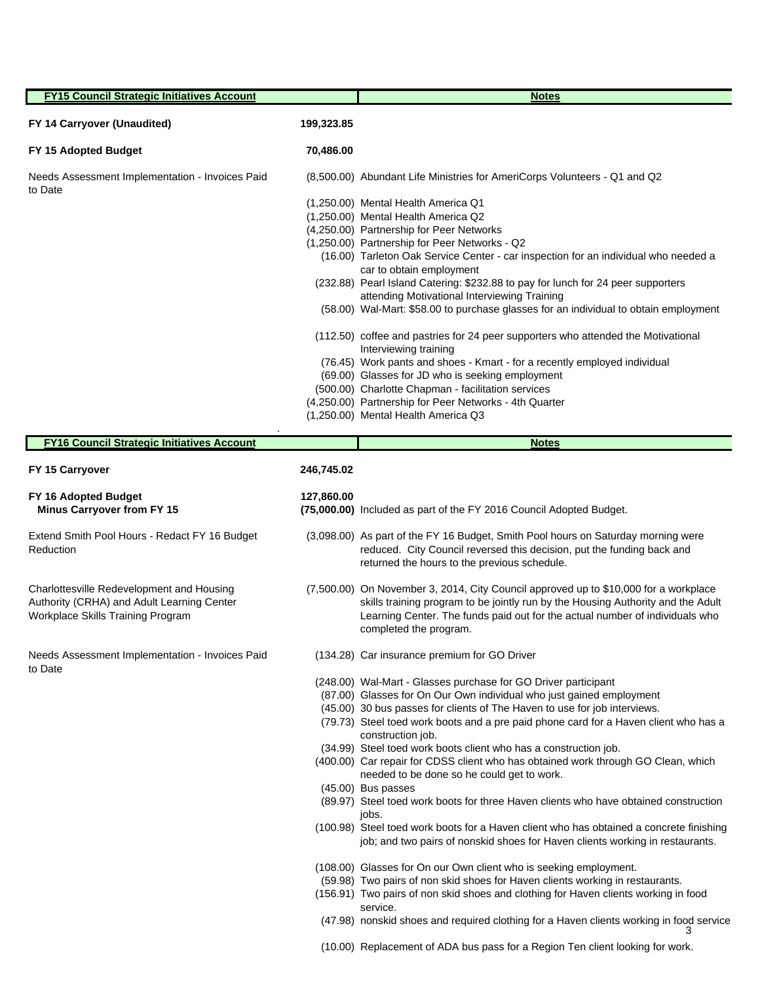| <b>FY15 Council Strategic Initiatives Account</b>                                                                            |            | <b>Notes</b>                                                                                                                                                                                                                                                                       |  |  |
|------------------------------------------------------------------------------------------------------------------------------|------------|------------------------------------------------------------------------------------------------------------------------------------------------------------------------------------------------------------------------------------------------------------------------------------|--|--|
| FY 14 Carryover (Unaudited)                                                                                                  | 199,323.85 |                                                                                                                                                                                                                                                                                    |  |  |
| FY 15 Adopted Budget                                                                                                         | 70,486.00  |                                                                                                                                                                                                                                                                                    |  |  |
| Needs Assessment Implementation - Invoices Paid<br>to Date                                                                   |            | (8,500.00) Abundant Life Ministries for AmeriCorps Volunteers - Q1 and Q2                                                                                                                                                                                                          |  |  |
|                                                                                                                              |            | (1,250.00) Mental Health America Q1<br>(1,250.00) Mental Health America Q2                                                                                                                                                                                                         |  |  |
|                                                                                                                              |            | (4,250.00) Partnership for Peer Networks                                                                                                                                                                                                                                           |  |  |
|                                                                                                                              |            | (1,250.00) Partnership for Peer Networks - Q2<br>(16.00) Tarleton Oak Service Center - car inspection for an individual who needed a                                                                                                                                               |  |  |
|                                                                                                                              |            | car to obtain employment                                                                                                                                                                                                                                                           |  |  |
|                                                                                                                              |            | (232.88) Pearl Island Catering: \$232.88 to pay for lunch for 24 peer supporters<br>attending Motivational Interviewing Training                                                                                                                                                   |  |  |
|                                                                                                                              |            | (58.00) Wal-Mart: \$58.00 to purchase glasses for an individual to obtain employment                                                                                                                                                                                               |  |  |
|                                                                                                                              |            | (112.50) coffee and pastries for 24 peer supporters who attended the Motivational<br>Interviewing training                                                                                                                                                                         |  |  |
|                                                                                                                              |            | (76.45) Work pants and shoes - Kmart - for a recently employed individual                                                                                                                                                                                                          |  |  |
|                                                                                                                              |            | (69.00) Glasses for JD who is seeking employment<br>(500.00) Charlotte Chapman - facilitation services                                                                                                                                                                             |  |  |
|                                                                                                                              |            | (4,250.00) Partnership for Peer Networks - 4th Quarter<br>(1,250.00) Mental Health America Q3                                                                                                                                                                                      |  |  |
|                                                                                                                              |            |                                                                                                                                                                                                                                                                                    |  |  |
| <b>FY16 Council Strategic Initiatives Account</b>                                                                            |            | <b>Notes</b>                                                                                                                                                                                                                                                                       |  |  |
| FY 15 Carryover                                                                                                              | 246,745.02 |                                                                                                                                                                                                                                                                                    |  |  |
| FY 16 Adopted Budget<br><b>Minus Carryover from FY 15</b>                                                                    | 127,860.00 | (75,000.00) Included as part of the FY 2016 Council Adopted Budget.                                                                                                                                                                                                                |  |  |
| Extend Smith Pool Hours - Redact FY 16 Budget<br>Reduction                                                                   |            | (3,098.00) As part of the FY 16 Budget, Smith Pool hours on Saturday morning were<br>reduced. City Council reversed this decision, put the funding back and<br>returned the hours to the previous schedule.                                                                        |  |  |
| Charlottesville Redevelopment and Housing<br>Authority (CRHA) and Adult Learning Center<br>Workplace Skills Training Program |            | (7,500.00) On November 3, 2014, City Council approved up to \$10,000 for a workplace<br>skills training program to be jointly run by the Housing Authority and the Adult<br>Learning Center. The funds paid out for the actual number of individuals who<br>completed the program. |  |  |
| Needs Assessment Implementation - Invoices Paid<br>to Date                                                                   |            | (134.28) Car insurance premium for GO Driver                                                                                                                                                                                                                                       |  |  |
|                                                                                                                              |            | (248.00) Wal-Mart - Glasses purchase for GO Driver participant                                                                                                                                                                                                                     |  |  |
|                                                                                                                              |            | (87.00) Glasses for On Our Own individual who just gained employment<br>(45.00) 30 bus passes for clients of The Haven to use for job interviews.                                                                                                                                  |  |  |
|                                                                                                                              |            | (79.73) Steel toed work boots and a pre paid phone card for a Haven client who has a                                                                                                                                                                                               |  |  |
|                                                                                                                              |            | construction job.<br>(34.99) Steel toed work boots client who has a construction job.                                                                                                                                                                                              |  |  |
|                                                                                                                              |            | (400.00) Car repair for CDSS client who has obtained work through GO Clean, which<br>needed to be done so he could get to work.                                                                                                                                                    |  |  |
|                                                                                                                              |            | (45.00) Bus passes                                                                                                                                                                                                                                                                 |  |  |
|                                                                                                                              |            | (89.97) Steel toed work boots for three Haven clients who have obtained construction<br>jobs.                                                                                                                                                                                      |  |  |
|                                                                                                                              |            | (100.98) Steel toed work boots for a Haven client who has obtained a concrete finishing<br>job; and two pairs of nonskid shoes for Haven clients working in restaurants.                                                                                                           |  |  |
|                                                                                                                              |            | (108.00) Glasses for On our Own client who is seeking employment.                                                                                                                                                                                                                  |  |  |
|                                                                                                                              |            | (59.98) Two pairs of non skid shoes for Haven clients working in restaurants.<br>(156.91) Two pairs of non skid shoes and clothing for Haven clients working in food                                                                                                               |  |  |
|                                                                                                                              |            | service.                                                                                                                                                                                                                                                                           |  |  |
|                                                                                                                              |            | (47.98) nonskid shoes and required clothing for a Haven clients working in food service<br>З                                                                                                                                                                                       |  |  |

(10.00) Replacement of ADA bus pass for a Region Ten client looking for work.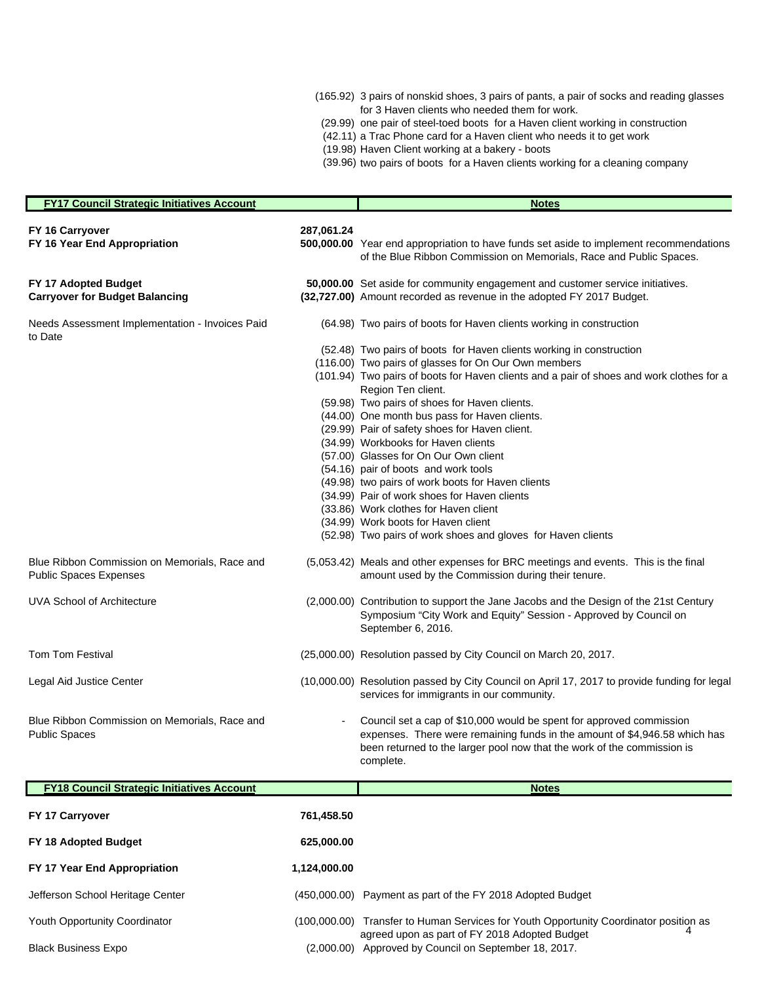- (165.92) 3 pairs of nonskid shoes, 3 pairs of pants, a pair of socks and reading glasses for 3 Haven clients who needed them for work.
- (29.99) one pair of steel-toed boots for a Haven client working in construction
- (42.11) a Trac Phone card for a Haven client who needs it to get work
- (19.98) Haven Client working at a bakery boots
- (39.96) two pairs of boots for a Haven clients working for a cleaning company

| <b>FY17 Council Strategic Initiatives Account</b>                              |              | <b>Notes</b>                                                                                                                                                                                                                               |
|--------------------------------------------------------------------------------|--------------|--------------------------------------------------------------------------------------------------------------------------------------------------------------------------------------------------------------------------------------------|
| FY 16 Carryover<br>FY 16 Year End Appropriation                                | 287,061.24   | 500,000.00 Year end appropriation to have funds set aside to implement recommendations<br>of the Blue Ribbon Commission on Memorials, Race and Public Spaces.                                                                              |
| FY 17 Adopted Budget<br><b>Carryover for Budget Balancing</b>                  |              | 50,000.00 Set aside for community engagement and customer service initiatives.<br>(32,727.00) Amount recorded as revenue in the adopted FY 2017 Budget.                                                                                    |
| Needs Assessment Implementation - Invoices Paid<br>to Date                     |              | (64.98) Two pairs of boots for Haven clients working in construction                                                                                                                                                                       |
|                                                                                |              | (52.48) Two pairs of boots for Haven clients working in construction                                                                                                                                                                       |
|                                                                                |              | (116.00) Two pairs of glasses for On Our Own members                                                                                                                                                                                       |
|                                                                                |              | (101.94) Two pairs of boots for Haven clients and a pair of shoes and work clothes for a<br>Region Ten client.                                                                                                                             |
|                                                                                |              | (59.98) Two pairs of shoes for Haven clients.                                                                                                                                                                                              |
|                                                                                |              | (44.00) One month bus pass for Haven clients.                                                                                                                                                                                              |
|                                                                                |              | (29.99) Pair of safety shoes for Haven client.                                                                                                                                                                                             |
|                                                                                |              | (34.99) Workbooks for Haven clients                                                                                                                                                                                                        |
|                                                                                |              | (57.00) Glasses for On Our Own client                                                                                                                                                                                                      |
|                                                                                |              | (54.16) pair of boots and work tools                                                                                                                                                                                                       |
|                                                                                |              | (49.98) two pairs of work boots for Haven clients                                                                                                                                                                                          |
|                                                                                |              | (34.99) Pair of work shoes for Haven clients                                                                                                                                                                                               |
|                                                                                |              | (33.86) Work clothes for Haven client                                                                                                                                                                                                      |
|                                                                                |              | (34.99) Work boots for Haven client                                                                                                                                                                                                        |
|                                                                                |              | (52.98) Two pairs of work shoes and gloves for Haven clients                                                                                                                                                                               |
| Blue Ribbon Commission on Memorials, Race and<br><b>Public Spaces Expenses</b> |              | (5,053.42) Meals and other expenses for BRC meetings and events. This is the final<br>amount used by the Commission during their tenure.                                                                                                   |
| UVA School of Architecture                                                     |              | (2,000.00) Contribution to support the Jane Jacobs and the Design of the 21st Century<br>Symposium "City Work and Equity" Session - Approved by Council on<br>September 6, 2016.                                                           |
| <b>Tom Tom Festival</b>                                                        |              | (25,000.00) Resolution passed by City Council on March 20, 2017.                                                                                                                                                                           |
| Legal Aid Justice Center                                                       |              | (10,000.00) Resolution passed by City Council on April 17, 2017 to provide funding for legal<br>services for immigrants in our community.                                                                                                  |
| Blue Ribbon Commission on Memorials, Race and<br><b>Public Spaces</b>          |              | Council set a cap of \$10,000 would be spent for approved commission<br>expenses. There were remaining funds in the amount of \$4,946.58 which has<br>been returned to the larger pool now that the work of the commission is<br>complete. |
| <b>FY18 Council Strategic Initiatives Account</b>                              |              | <b>Notes</b>                                                                                                                                                                                                                               |
| FY 17 Carryover                                                                | 761,458.50   |                                                                                                                                                                                                                                            |
| FY 18 Adopted Budget                                                           | 625,000.00   |                                                                                                                                                                                                                                            |
| FY 17 Year End Appropriation                                                   | 1,124,000.00 |                                                                                                                                                                                                                                            |

- Jefferson School Heritage Center (450,000.00) Payment as part of the FY 2018 Adopted Budget
- Youth Opportunity Coordinator (100,000.00) Transfer to Human Services for Youth Opportunity Coordinator position as<br>39Teed upon as part of EV 2018 Adopted Budget agreed upon as part of FY 2018 Adopted Budget
	- Black Business Expo (2,000.00) Approved by Council on September 18, 2017.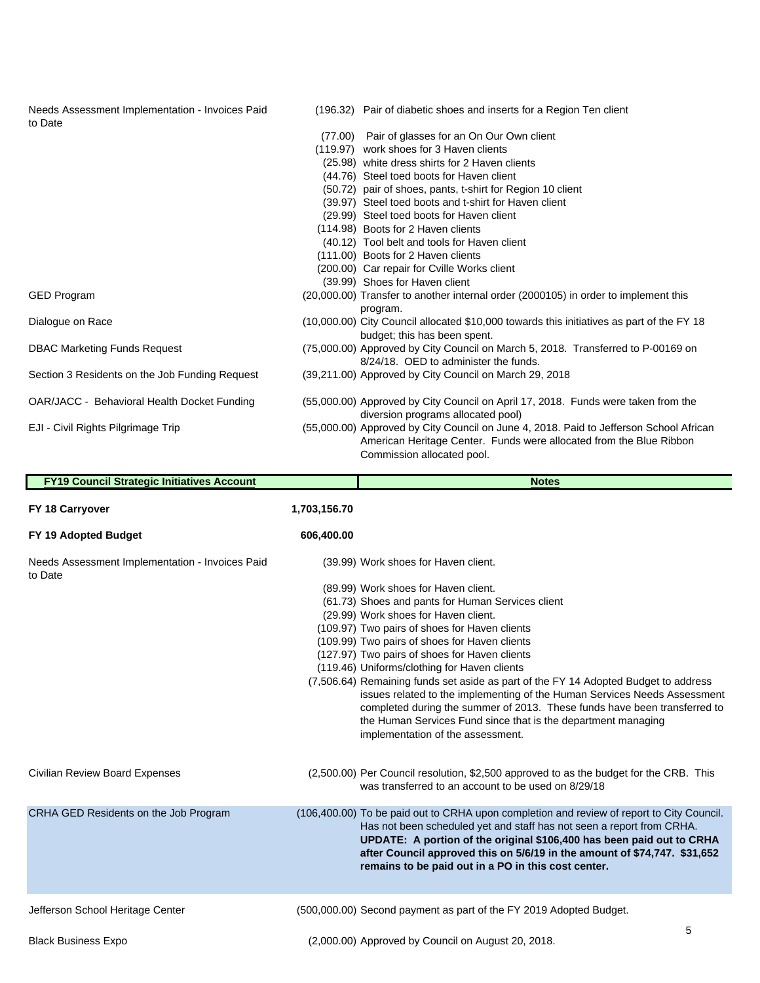Needs Assessment Implementation - Invoices Paid to Date

- (196.32) Pair of diabetic shoes and inserts for a Region Ten client
- (77.00) Pair of glasses for an On Our Own client
- (119.97) work shoes for 3 Haven clients
- (25.98) white dress shirts for 2 Haven clients
- (44.76) Steel toed boots for Haven client
- (50.72) pair of shoes, pants, t-shirt for Region 10 client
- (39.97) Steel toed boots and t-shirt for Haven client
- (29.99) Steel toed boots for Haven client
- (114.98) Boots for 2 Haven clients
- (40.12) Tool belt and tools for Haven client
- (111.00) Boots for 2 Haven clients
- (200.00) Car repair for Cville Works client
- (39.99) Shoes for Haven client
- GED Program (20,000.00) Transfer to another internal order (2000105) in order to implement this program.
- Dialogue on Race (10,000.00) City Council allocated \$10,000 towards this initiatives as part of the FY 18 budget; this has been spent.
- DBAC Marketing Funds Request (75,000.00) Approved by City Council on March 5, 2018. Transferred to P-00169 on 8/24/18. OED to administer the funds.
- Section 3 Residents on the Job Funding Request (39,211.00) Approved by City Council on March 29, 2018
- OAR/JACC Behavioral Health Docket Funding (55,000.00) Approved by City Council on April 17, 2018. Funds were taken from the diversion programs allocated pool)
- EJI Civil Rights Pilgrimage Trip (55,000.00) Approved by City Council on June 4, 2018. Paid to Jefferson School African American Heritage Center. Funds were allocated from the Blue Ribbon Commission allocated pool.

| <b>FY19 Council Strategic Initiatives Account</b>          |                                                                                                                                                                                                                                                                                                                                                                                                                                                                                                                                                                                                                                                                                                                                     | <b>Notes</b>                                                                                                                                                                                                                                                                                                                                                                    |
|------------------------------------------------------------|-------------------------------------------------------------------------------------------------------------------------------------------------------------------------------------------------------------------------------------------------------------------------------------------------------------------------------------------------------------------------------------------------------------------------------------------------------------------------------------------------------------------------------------------------------------------------------------------------------------------------------------------------------------------------------------------------------------------------------------|---------------------------------------------------------------------------------------------------------------------------------------------------------------------------------------------------------------------------------------------------------------------------------------------------------------------------------------------------------------------------------|
| FY 18 Carryover                                            | 1,703,156.70                                                                                                                                                                                                                                                                                                                                                                                                                                                                                                                                                                                                                                                                                                                        |                                                                                                                                                                                                                                                                                                                                                                                 |
| FY 19 Adopted Budget                                       | 606,400.00                                                                                                                                                                                                                                                                                                                                                                                                                                                                                                                                                                                                                                                                                                                          |                                                                                                                                                                                                                                                                                                                                                                                 |
| Needs Assessment Implementation - Invoices Paid<br>to Date | (39.99) Work shoes for Haven client.<br>(89.99) Work shoes for Haven client.<br>(61.73) Shoes and pants for Human Services client<br>(29.99) Work shoes for Haven client.<br>(109.97) Two pairs of shoes for Haven clients<br>(109.99) Two pairs of shoes for Haven clients<br>(127.97) Two pairs of shoes for Haven clients<br>(119.46) Uniforms/clothing for Haven clients<br>(7,506.64) Remaining funds set aside as part of the FY 14 Adopted Budget to address<br>issues related to the implementing of the Human Services Needs Assessment<br>completed during the summer of 2013. These funds have been transferred to<br>the Human Services Fund since that is the department managing<br>implementation of the assessment. |                                                                                                                                                                                                                                                                                                                                                                                 |
| <b>Civilian Review Board Expenses</b>                      |                                                                                                                                                                                                                                                                                                                                                                                                                                                                                                                                                                                                                                                                                                                                     | (2,500.00) Per Council resolution, \$2,500 approved to as the budget for the CRB. This<br>was transferred to an account to be used on 8/29/18                                                                                                                                                                                                                                   |
| CRHA GED Residents on the Job Program                      |                                                                                                                                                                                                                                                                                                                                                                                                                                                                                                                                                                                                                                                                                                                                     | (106,400.00) To be paid out to CRHA upon completion and review of report to City Council.<br>Has not been scheduled yet and staff has not seen a report from CRHA.<br>UPDATE: A portion of the original \$106,400 has been paid out to CRHA<br>after Council approved this on 5/6/19 in the amount of \$74,747. \$31,652<br>remains to be paid out in a PO in this cost center. |
| Jefferson School Heritage Center                           |                                                                                                                                                                                                                                                                                                                                                                                                                                                                                                                                                                                                                                                                                                                                     | (500,000.00) Second payment as part of the FY 2019 Adopted Budget.                                                                                                                                                                                                                                                                                                              |
| <b>Black Business Expo</b>                                 |                                                                                                                                                                                                                                                                                                                                                                                                                                                                                                                                                                                                                                                                                                                                     | 5<br>(2,000.00) Approved by Council on August 20, 2018.                                                                                                                                                                                                                                                                                                                         |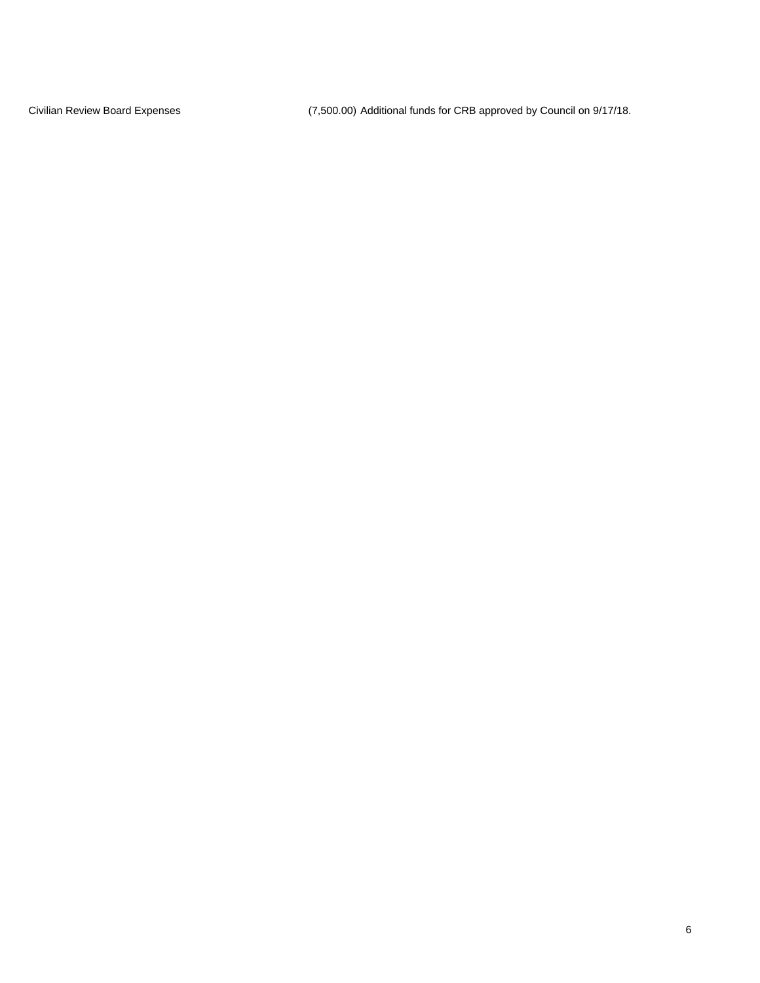Civilian Review Board Expenses (7,500.00) Additional funds for CRB approved by Council on 9/17/18.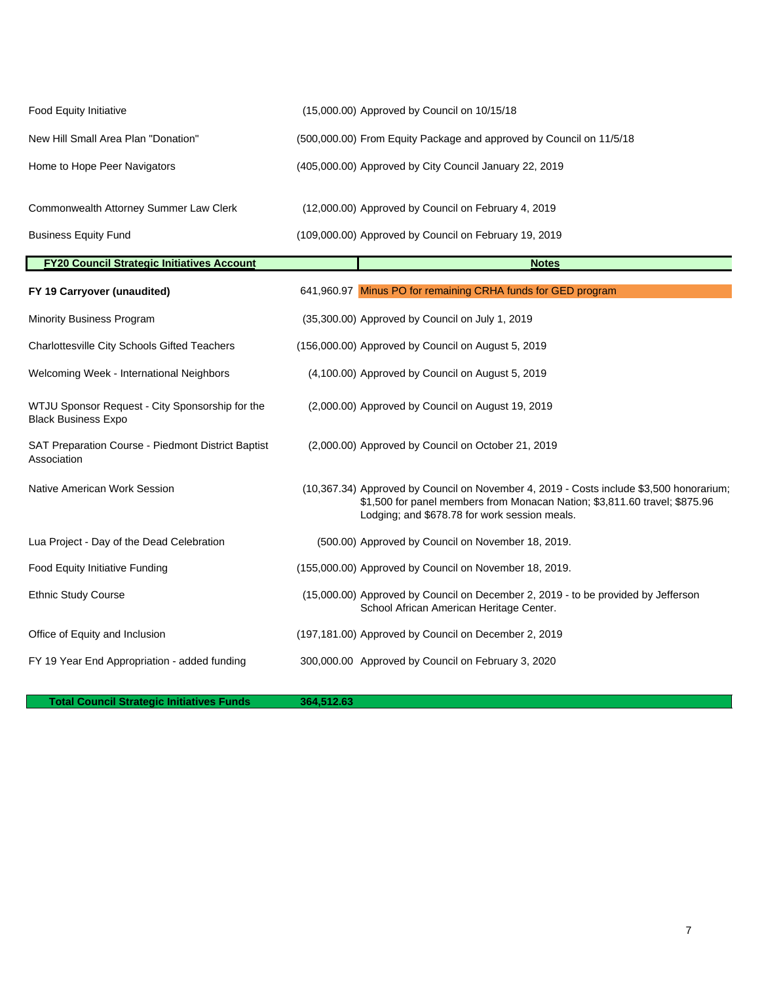| (15,000.00) Approved by Council on 10/15/18                                                                                                                                                                            |
|------------------------------------------------------------------------------------------------------------------------------------------------------------------------------------------------------------------------|
| (500,000.00) From Equity Package and approved by Council on 11/5/18                                                                                                                                                    |
| (405,000.00) Approved by City Council January 22, 2019                                                                                                                                                                 |
| (12,000.00) Approved by Council on February 4, 2019                                                                                                                                                                    |
| (109,000.00) Approved by Council on February 19, 2019                                                                                                                                                                  |
| <b>Notes</b>                                                                                                                                                                                                           |
| 641,960.97 Minus PO for remaining CRHA funds for GED program                                                                                                                                                           |
| (35,300.00) Approved by Council on July 1, 2019                                                                                                                                                                        |
| (156,000.00) Approved by Council on August 5, 2019                                                                                                                                                                     |
| (4,100.00) Approved by Council on August 5, 2019                                                                                                                                                                       |
| (2,000.00) Approved by Council on August 19, 2019                                                                                                                                                                      |
| (2,000.00) Approved by Council on October 21, 2019                                                                                                                                                                     |
| (10,367.34) Approved by Council on November 4, 2019 - Costs include \$3,500 honorarium;<br>\$1,500 for panel members from Monacan Nation; \$3,811.60 travel; \$875.96<br>Lodging; and \$678.78 for work session meals. |
| (500.00) Approved by Council on November 18, 2019.                                                                                                                                                                     |
| (155,000.00) Approved by Council on November 18, 2019.                                                                                                                                                                 |
| (15,000.00) Approved by Council on December 2, 2019 - to be provided by Jefferson<br>School African American Heritage Center.                                                                                          |
| (197,181.00) Approved by Council on December 2, 2019                                                                                                                                                                   |
| 300,000.00 Approved by Council on February 3, 2020                                                                                                                                                                     |
|                                                                                                                                                                                                                        |

**Total Council Strategic Initiatives Funds** 364,512.63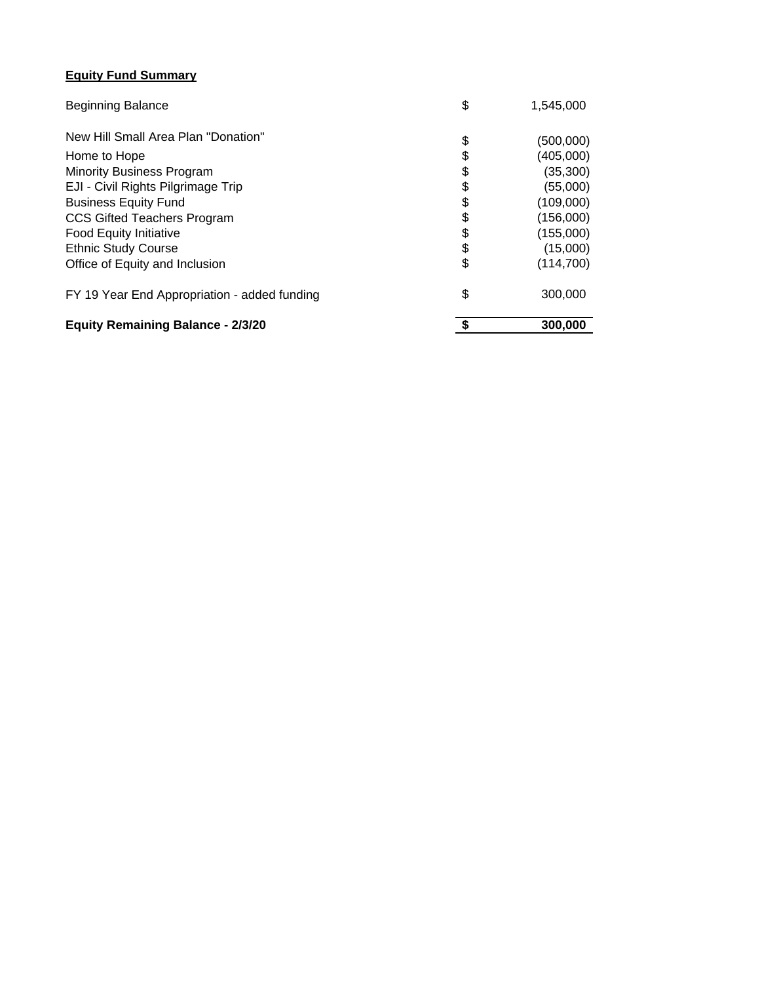## **Equity Fund Summary**

| <b>Beginning Balance</b>                     | \$<br>1,545,000  |
|----------------------------------------------|------------------|
| New Hill Small Area Plan "Donation"          | \$<br>(500,000)  |
| Home to Hope                                 | \$<br>(405,000)  |
| <b>Minority Business Program</b>             | \$<br>(35, 300)  |
| EJI - Civil Rights Pilgrimage Trip           | \$<br>(55,000)   |
| <b>Business Equity Fund</b>                  | \$<br>(109,000)  |
| <b>CCS Gifted Teachers Program</b>           | \$<br>(156,000)  |
| <b>Food Equity Initiative</b>                | \$<br>(155,000)  |
| <b>Ethnic Study Course</b>                   | \$<br>(15,000)   |
| Office of Equity and Inclusion               | \$<br>(114, 700) |
| FY 19 Year End Appropriation - added funding | \$<br>300,000    |
| <b>Equity Remaining Balance - 2/3/20</b>     | 300,000          |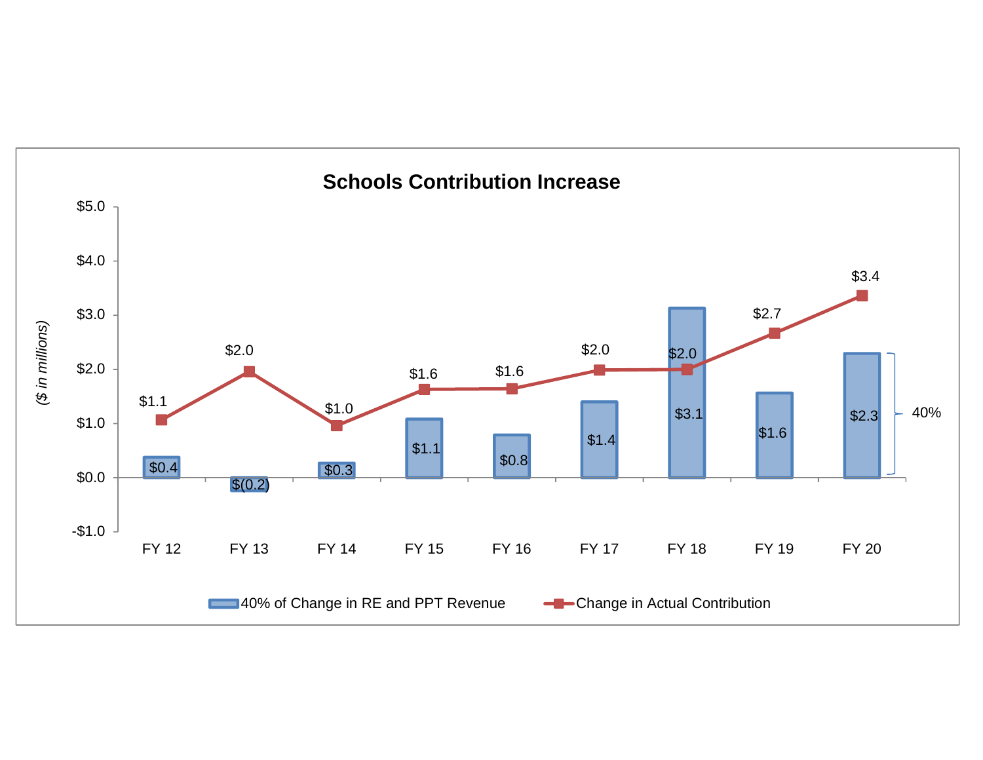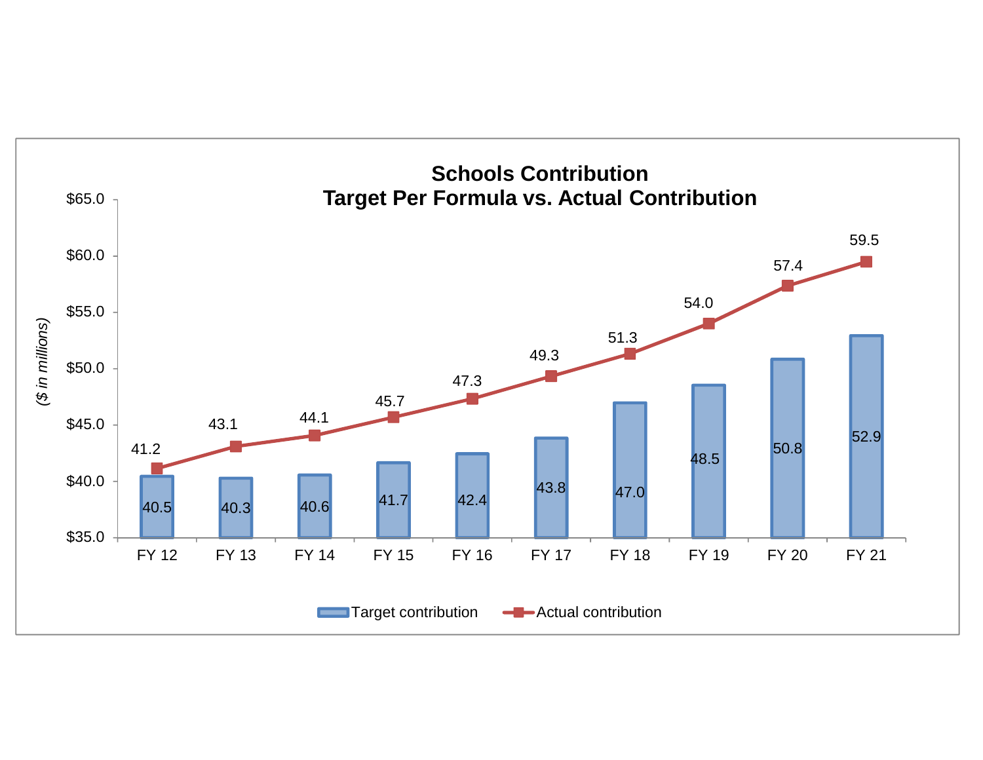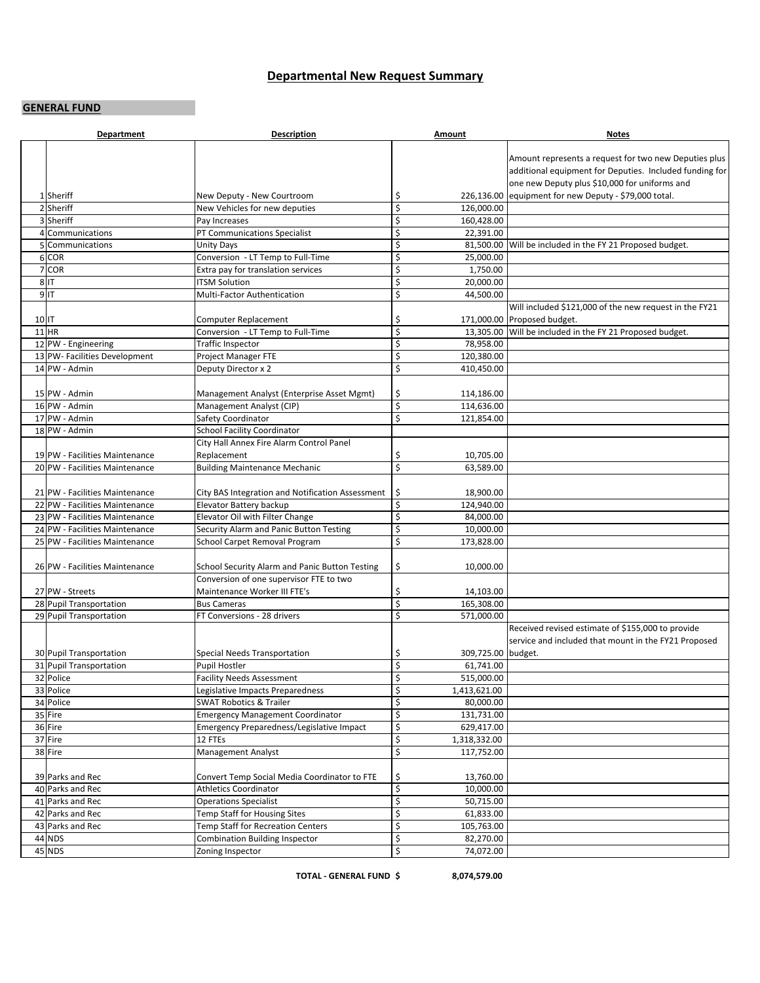#### **Departmental New Request Summary**

#### **GENERAL FUND**

|       | <b>Department</b>              | <b>Description</b>                               | Amount                   | <b>Notes</b>                                                                                                                                                      |
|-------|--------------------------------|--------------------------------------------------|--------------------------|-------------------------------------------------------------------------------------------------------------------------------------------------------------------|
|       |                                |                                                  |                          | Amount represents a request for two new Deputies plus<br>additional equipment for Deputies. Included funding for<br>one new Deputy plus \$10,000 for uniforms and |
|       | 1 Sheriff                      | New Deputy - New Courtroom                       | \$                       | 226,136.00 equipment for new Deputy - \$79,000 total.                                                                                                             |
|       | 2 Sheriff                      | New Vehicles for new deputies                    | \$<br>126,000.00         |                                                                                                                                                                   |
|       | 3 Sheriff                      | Pay Increases                                    | \$<br>160,428.00         |                                                                                                                                                                   |
|       | 4 Communications               | PT Communications Specialist                     | \$<br>22,391.00          |                                                                                                                                                                   |
|       | 5 Communications               | Unity Days                                       | \$                       | 81,500.00 Will be included in the FY 21 Proposed budget.                                                                                                          |
|       | 6 COR                          | Conversion - LT Temp to Full-Time                | \$<br>25,000.00          |                                                                                                                                                                   |
|       | 7 COR                          | Extra pay for translation services               | \$<br>1,750.00           |                                                                                                                                                                   |
|       | $8$ IT                         | <b>ITSM Solution</b>                             | \$<br>20,000.00          |                                                                                                                                                                   |
|       | $9$ IT                         | Multi-Factor Authentication                      | \$<br>44,500.00          |                                                                                                                                                                   |
|       |                                |                                                  |                          | Will included \$121,000 of the new request in the FY21                                                                                                            |
| 10 IT |                                | Computer Replacement                             | \$                       | 171,000.00 Proposed budget.                                                                                                                                       |
|       | $11$ HR                        | Conversion - LT Temp to Full-Time                | \$                       | 13,305.00 Will be included in the FY 21 Proposed budget.                                                                                                          |
|       | 12 PW - Engineering            | Traffic Inspector                                | \$<br>78,958.00          |                                                                                                                                                                   |
|       | 13 PW- Facilities Development  | Project Manager FTE                              | \$<br>120,380.00         |                                                                                                                                                                   |
|       | 14 PW - Admin                  | Deputy Director x 2                              | \$<br>410,450.00         |                                                                                                                                                                   |
|       | 15 PW - Admin                  | Management Analyst (Enterprise Asset Mgmt)       | \$<br>114,186.00         |                                                                                                                                                                   |
|       | 16 PW - Admin                  | Management Analyst (CIP)                         | \$<br>114,636.00         |                                                                                                                                                                   |
|       | 17 PW - Admin                  | Safety Coordinator                               | \$<br>121,854.00         |                                                                                                                                                                   |
|       | 18 PW - Admin                  | School Facility Coordinator                      |                          |                                                                                                                                                                   |
|       |                                | City Hall Annex Fire Alarm Control Panel         |                          |                                                                                                                                                                   |
|       | 19 PW - Facilities Maintenance | Replacement                                      | \$<br>10,705.00          |                                                                                                                                                                   |
|       | 20 PW - Facilities Maintenance | <b>Building Maintenance Mechanic</b>             | \$<br>63,589.00          |                                                                                                                                                                   |
|       |                                |                                                  |                          |                                                                                                                                                                   |
|       | 21 PW - Facilities Maintenance | City BAS Integration and Notification Assessment | \$<br>18,900.00          |                                                                                                                                                                   |
|       | 22 PW - Facilities Maintenance | Elevator Battery backup                          | \$<br>124,940.00         |                                                                                                                                                                   |
|       | 23 PW - Facilities Maintenance | Elevator Oil with Filter Change                  | \$<br>84,000.00          |                                                                                                                                                                   |
|       | 24 PW - Facilities Maintenance | Security Alarm and Panic Button Testing          | \$<br>10,000.00          |                                                                                                                                                                   |
|       | 25 PW - Facilities Maintenance | School Carpet Removal Program                    | \$<br>173,828.00         |                                                                                                                                                                   |
|       | 26 PW - Facilities Maintenance | School Security Alarm and Panic Button Testing   | \$<br>10,000.00          |                                                                                                                                                                   |
|       |                                | Conversion of one supervisor FTE to two          |                          |                                                                                                                                                                   |
|       | 27 PW - Streets                | Maintenance Worker III FTE's                     | \$<br>14,103.00          |                                                                                                                                                                   |
|       | 28 Pupil Transportation        | <b>Bus Cameras</b>                               | \$<br>165,308.00         |                                                                                                                                                                   |
|       | 29 Pupil Transportation        | FT Conversions - 28 drivers                      | \$<br>571,000.00         |                                                                                                                                                                   |
|       |                                |                                                  |                          | Received revised estimate of \$155,000 to provide<br>service and included that mount in the FY21 Proposed                                                         |
|       | 30 Pupil Transportation        | Special Needs Transportation                     | \$<br>309,725.00 budget. |                                                                                                                                                                   |
|       | 31 Pupil Transportation        | Pupil Hostler                                    | \$<br>61,741.00          |                                                                                                                                                                   |
|       | 32 Police                      | <b>Facility Needs Assessment</b>                 | \$<br>515,000.00         |                                                                                                                                                                   |
|       | 33 Police                      | Legislative Impacts Preparedness                 | \$<br>1,413,621.00       |                                                                                                                                                                   |
|       | 34 Police                      | <b>SWAT Robotics &amp; Trailer</b>               | \$<br>80,000.00          |                                                                                                                                                                   |
|       | $35$ Fire                      | <b>Emergency Management Coordinator</b>          | \$<br>131,731.00         |                                                                                                                                                                   |
|       | 36 Fire                        | Emergency Preparedness/Legislative Impact        | \$<br>629,417.00         |                                                                                                                                                                   |
|       | 37 Fire                        | 12 FTEs                                          | \$<br>1,318,332.00       |                                                                                                                                                                   |
|       | 38 Fire                        | <b>Management Analyst</b>                        | \$<br>117,752.00         |                                                                                                                                                                   |
|       | 39 Parks and Rec               | Convert Temp Social Media Coordinator to FTE     | \$<br>13,760.00          |                                                                                                                                                                   |
|       | 40 Parks and Rec               | <b>Athletics Coordinator</b>                     | \$<br>10,000.00          |                                                                                                                                                                   |
|       | 41 Parks and Rec               | <b>Operations Specialist</b>                     | \$<br>50,715.00          |                                                                                                                                                                   |
|       | 42 Parks and Rec               | Temp Staff for Housing Sites                     | \$<br>61,833.00          |                                                                                                                                                                   |
|       | 43 Parks and Rec               | Temp Staff for Recreation Centers                | \$<br>105,763.00         |                                                                                                                                                                   |
|       | $44$ NDS                       | <b>Combination Building Inspector</b>            | \$<br>82,270.00          |                                                                                                                                                                   |
|       | 45 NDS                         | Zoning Inspector                                 | \$<br>74,072.00          |                                                                                                                                                                   |

**TOTAL ‐ GENERAL FUND \$ 8,074,579.00**